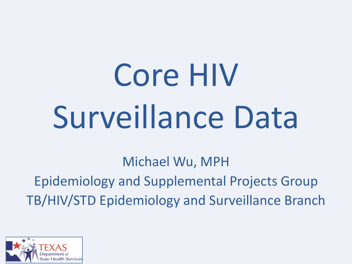# Core HIV Surveillance Data

Michael Wu, MPH Epidemiology and Supplemental Projects Group TB/HIV/STD Epidemiology and Surveillance Branch

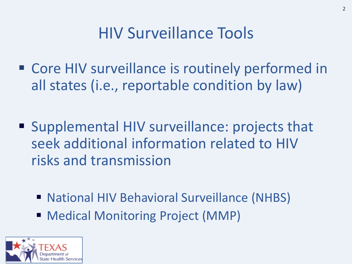#### HIV Surveillance Tools

- Core HIV surveillance is routinely performed in all states (i.e., reportable condition by law)
- Supplemental HIV surveillance: projects that seek additional information related to HIV risks and transmission
	- National HIV Behavioral Surveillance (NHBS)
	- Medical Monitoring Project (MMP)

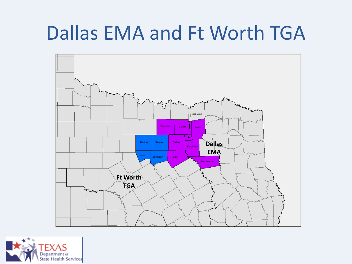# Dallas EMA and Ft Worth TGA



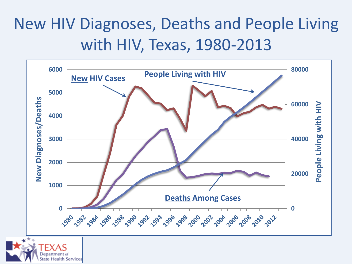## New HIV Diagnoses, Deaths and People Living with HIV, Texas, 1980-2013



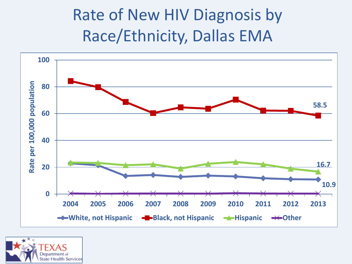## Rate of New HIV Diagnosis by Race/Ethnicity, Dallas EMA



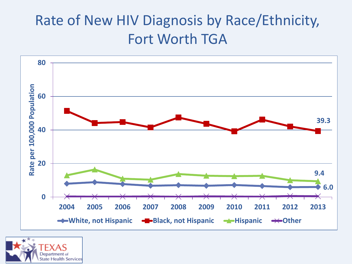#### Rate of New HIV Diagnosis by Race/Ethnicity, Fort Worth TGA



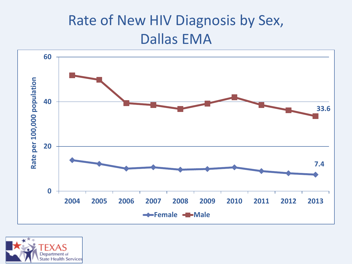#### Rate of New HIV Diagnosis by Sex, Dallas EMA



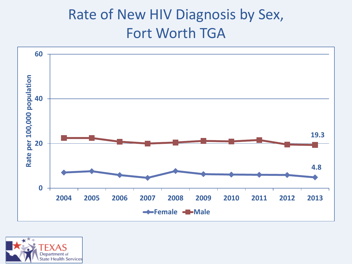#### Rate of New HIV Diagnosis by Sex, Fort Worth TGA



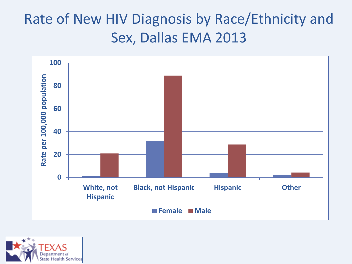#### Rate of New HIV Diagnosis by Race/Ethnicity and Sex, Dallas EMA 2013



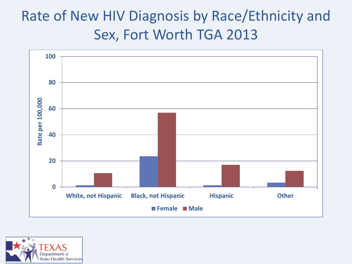#### Rate of New HIV Diagnosis by Race/Ethnicity and Sex, Fort Worth TGA 2013



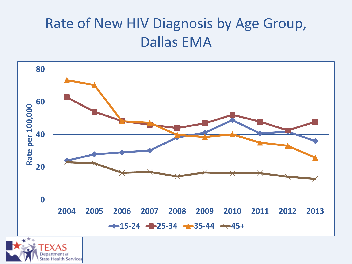#### Rate of New HIV Diagnosis by Age Group, Dallas EMA



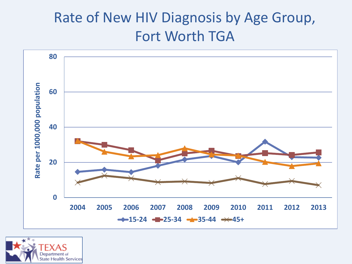#### Rate of New HIV Diagnosis by Age Group, Fort Worth TGA



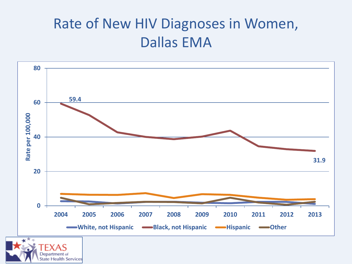#### Rate of New HIV Diagnoses in Women, Dallas EMA

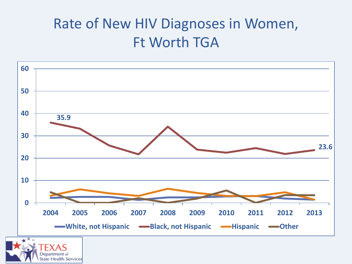#### Rate of New HIV Diagnoses in Women, Ft Worth TGA

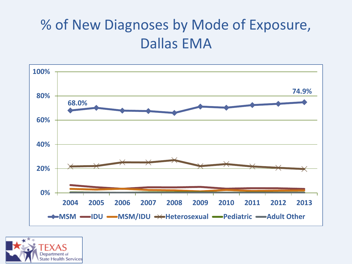#### % of New Diagnoses by Mode of Exposure, Dallas EMA



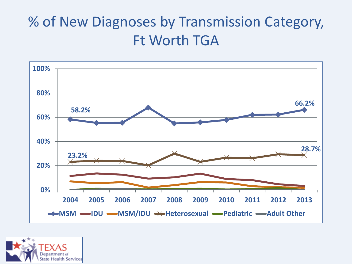#### % of New Diagnoses by Transmission Category, Ft Worth TGA



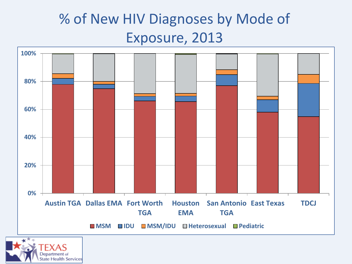#### % of New HIV Diagnoses by Mode of Exposure, 2013



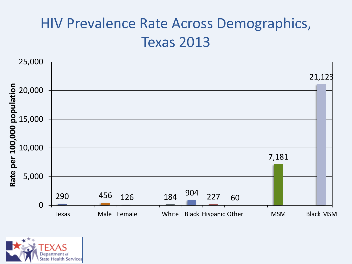#### HIV Prevalence Rate Across Demographics, Texas 2013



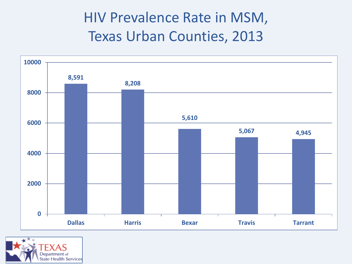#### HIV Prevalence Rate in MSM, Texas Urban Counties, 2013



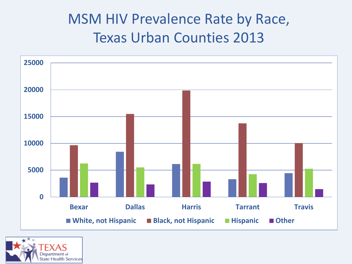#### MSM HIV Prevalence Rate by Race, Texas Urban Counties 2013



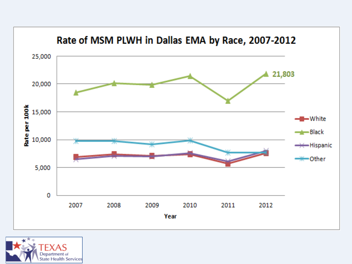

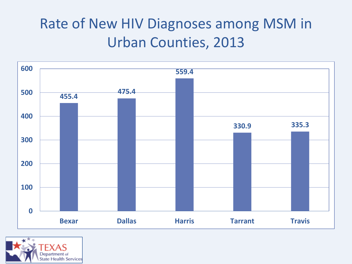#### Rate of New HIV Diagnoses among MSM in Urban Counties, 2013



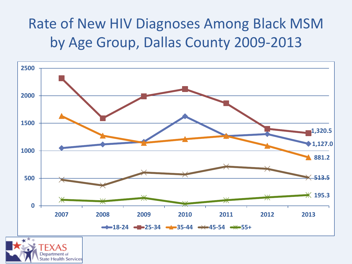#### Rate of New HIV Diagnoses Among Black MSM by Age Group, Dallas County 2009-2013